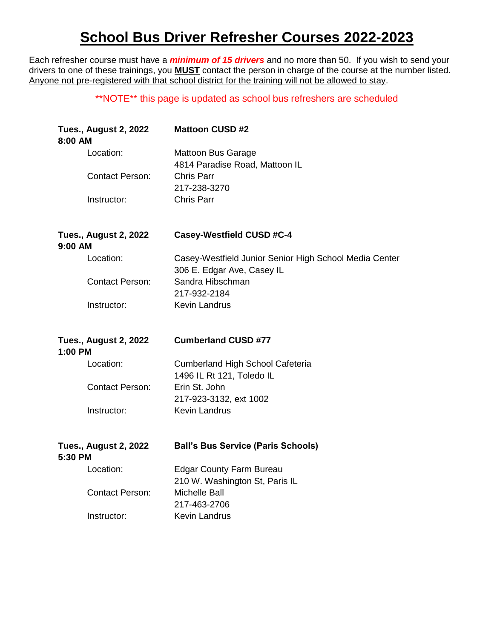## **School Bus Driver Refresher Courses 2022-2023**

Each refresher course must have a *minimum of 15 drivers* and no more than 50. If you wish to send your drivers to one of these trainings, you **MUST** contact the person in charge of the course at the number listed. Anyone not pre-registered with that school district for the training will not be allowed to stay.

## \*\*NOTE\*\* this page is updated as school bus refreshers are scheduled

| <b>Tues., August 2, 2022</b><br>8:00 AM   | <b>Mattoon CUSD #2</b>                                                               |
|-------------------------------------------|--------------------------------------------------------------------------------------|
| Location:                                 | <b>Mattoon Bus Garage</b><br>4814 Paradise Road, Mattoon IL                          |
| <b>Contact Person:</b>                    | <b>Chris Parr</b><br>217-238-3270                                                    |
| Instructor:                               | <b>Chris Parr</b>                                                                    |
| <b>Tues., August 2, 2022</b><br>$9:00$ AM | <b>Casey-Westfield CUSD #C-4</b>                                                     |
| Location:                                 | Casey-Westfield Junior Senior High School Media Center<br>306 E. Edgar Ave, Casey IL |
| <b>Contact Person:</b>                    | Sandra Hibschman<br>217-932-2184                                                     |
| Instructor:                               | <b>Kevin Landrus</b>                                                                 |
|                                           |                                                                                      |
| <b>Tues., August 2, 2022</b>              | <b>Cumberland CUSD #77</b>                                                           |
| 1:00 PM<br>Location:                      | <b>Cumberland High School Cafeteria</b><br>1496 IL Rt 121, Toledo IL                 |
| <b>Contact Person:</b>                    | Erin St. John<br>217-923-3132, ext 1002                                              |
| Instructor:                               | <b>Kevin Landrus</b>                                                                 |
| <b>Tues., August 2, 2022</b><br>5:30 PM   | <b>Ball's Bus Service (Paris Schools)</b>                                            |
| Location:                                 | <b>Edgar County Farm Bureau</b><br>210 W. Washington St, Paris IL                    |
| <b>Contact Person:</b>                    | <b>Michelle Ball</b><br>217-463-2706                                                 |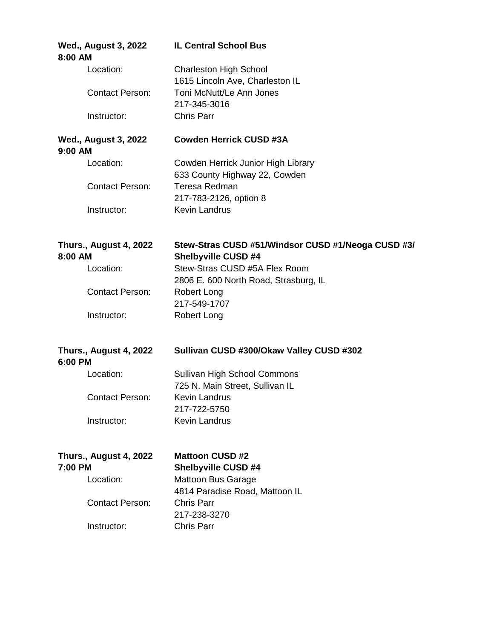| 8:00 AM                                  | <b>Wed., August 3, 2022</b>   | <b>IL Central School Bus</b>                                                     |
|------------------------------------------|-------------------------------|----------------------------------------------------------------------------------|
|                                          | Location:                     | <b>Charleston High School</b><br>1615 Lincoln Ave, Charleston IL                 |
|                                          | <b>Contact Person:</b>        | Toni McNutt/Le Ann Jones<br>217-345-3016                                         |
|                                          | Instructor:                   | <b>Chris Parr</b>                                                                |
| <b>Wed., August 3, 2022</b><br>9:00 AM   |                               | <b>Cowden Herrick CUSD #3A</b>                                                   |
|                                          | Location:                     | Cowden Herrick Junior High Library<br>633 County Highway 22, Cowden              |
|                                          | <b>Contact Person:</b>        | Teresa Redman<br>217-783-2126, option 8                                          |
|                                          | Instructor:                   | <b>Kevin Landrus</b>                                                             |
| 8:00 AM                                  | <b>Thurs., August 4, 2022</b> | Stew-Stras CUSD #51/Windsor CUSD #1/Neoga CUSD #3/<br><b>Shelbyville CUSD #4</b> |
|                                          | Location:                     | Stew-Stras CUSD #5A Flex Room<br>2806 E. 600 North Road, Strasburg, IL           |
|                                          | <b>Contact Person:</b>        | Robert Long<br>217-549-1707                                                      |
|                                          | Instructor:                   | <b>Robert Long</b>                                                               |
| <b>Thurs., August 4, 2022</b><br>6:00 PM |                               | Sullivan CUSD #300/Okaw Valley CUSD #302                                         |
|                                          | Location:                     | Sullivan High School Commons<br>725 N. Main Street, Sullivan IL                  |
|                                          | <b>Contact Person:</b>        | Kevin Landrus<br>217-722-5750                                                    |
|                                          | Instructor:                   | Kevin Landrus                                                                    |
| <b>Thurs., August 4, 2022</b><br>7:00 PM |                               | <b>Mattoon CUSD #2</b><br><b>Shelbyville CUSD #4</b>                             |
|                                          | Location:                     | <b>Mattoon Bus Garage</b><br>4814 Paradise Road, Mattoon IL                      |
|                                          | <b>Contact Person:</b>        | <b>Chris Parr</b><br>217-238-3270                                                |
|                                          | Instructor:                   | <b>Chris Parr</b>                                                                |